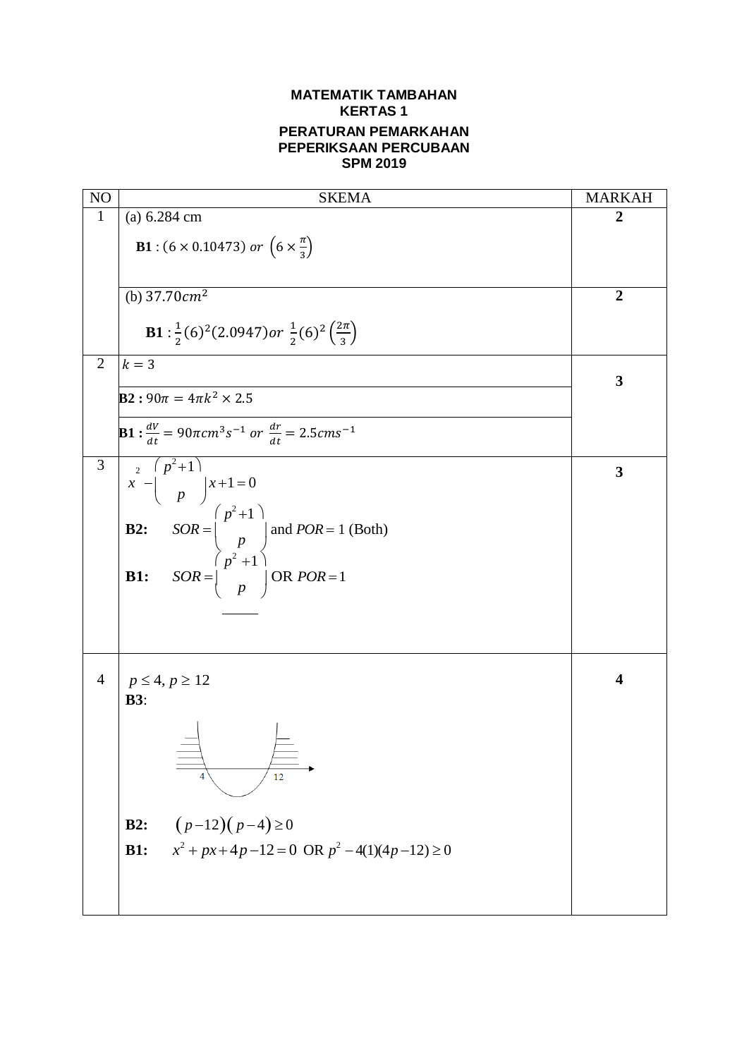## **MATEMATIK TAMBAHAN KERTAS 1 PERATURAN PEMARKAHAN PEPERIKSAAN PERCUBAAN SPM 2019**

| N <sub>O</sub> | <b>SKEMA</b>                                                                                                                                                     | <b>MARKAH</b>           |
|----------------|------------------------------------------------------------------------------------------------------------------------------------------------------------------|-------------------------|
| $\mathbf{1}$   | (a) 6.284 cm                                                                                                                                                     | $\overline{2}$          |
|                | <b>B1</b> : (6 × 0.10473) or $(6 \times \frac{\pi}{3})$                                                                                                          |                         |
|                | (b) $37.70cm^2$                                                                                                                                                  | $\overline{2}$          |
|                | <b>B1</b> : $\frac{1}{2}$ (6) <sup>2</sup> (2.0947) or $\frac{1}{2}$ (6) <sup>2</sup> ( $\frac{2\pi}{3}$ )                                                       |                         |
| $\overline{2}$ | $k=3$                                                                                                                                                            | $\mathbf{3}$            |
|                | <b>B2</b> : $90\pi = 4\pi k^2 \times 2.5$                                                                                                                        |                         |
|                | <b>B1</b> : $\frac{dV}{dt} = 90\pi cm^3 s^{-1}$ or $\frac{dr}{dt} = 2.5 cm s^{-1}$                                                                               |                         |
| 3              | $x^2 - {p^2+1 \choose p} x+1=0$                                                                                                                                  | $\mathbf{3}$            |
|                |                                                                                                                                                                  |                         |
|                |                                                                                                                                                                  |                         |
|                | <b>B2:</b> $SOR = \begin{pmatrix} p^2 + 1 \\ p \end{pmatrix}$ and $POR = 1$ (Both)<br><b>B1:</b> $SOR = \begin{pmatrix} p^2 + 1 \\ p \end{pmatrix}$ OR $POR = 1$ |                         |
|                |                                                                                                                                                                  |                         |
| $\overline{4}$ | $p \leq 4, p \geq 12$                                                                                                                                            | $\overline{\mathbf{4}}$ |
|                | <b>B3:</b>                                                                                                                                                       |                         |
|                | 12                                                                                                                                                               |                         |
|                | $(p-12)(p-4) \ge 0$<br>B2:                                                                                                                                       |                         |
|                | $x^{2} + px + 4p - 12 = 0$ OR $p^{2} - 4(1)(4p - 12) \ge 0$<br><b>B1:</b>                                                                                        |                         |
|                |                                                                                                                                                                  |                         |
|                |                                                                                                                                                                  |                         |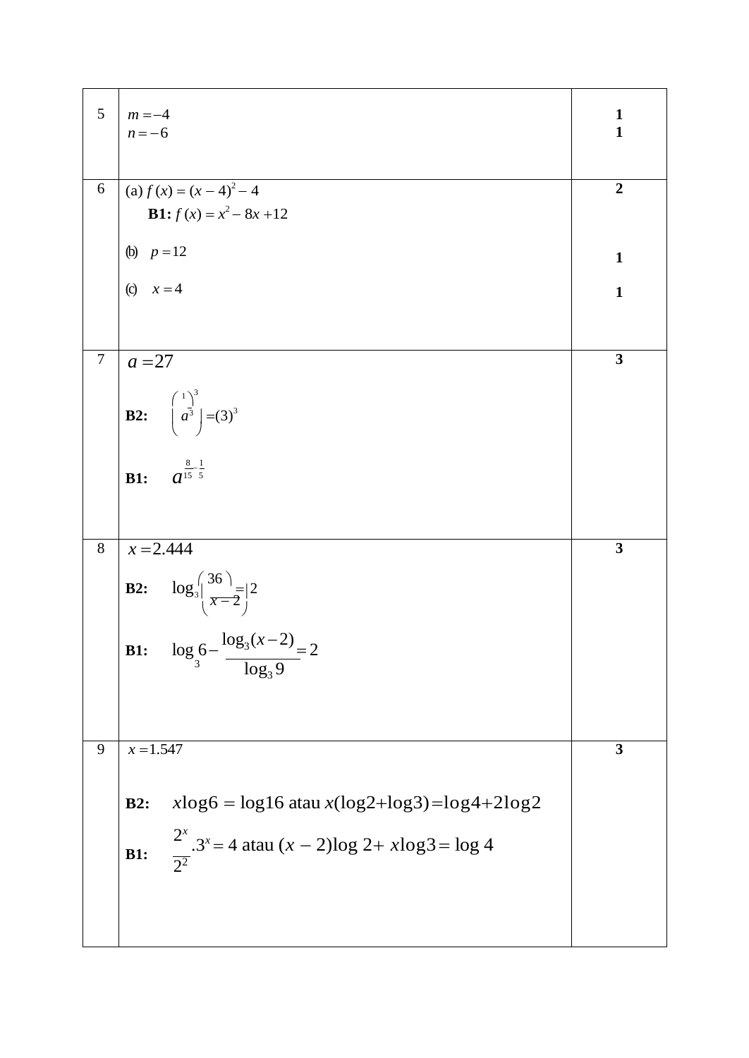| 5              | $m = -4$<br>$n = -6$                                                           | $\mathbf{1}$<br>$\mathbf{1}$ |
|----------------|--------------------------------------------------------------------------------|------------------------------|
| 6              | (a) $f(x) = (x - 4)^2 - 4$                                                     | $\overline{2}$               |
|                | <b>B1:</b> $f(x) = x^2 - 8x + 12$                                              |                              |
|                | (b) $p = 12$                                                                   | $\mathbf{1}$                 |
|                | (c) $x = 4$                                                                    | $\mathbf{1}$                 |
|                |                                                                                |                              |
| $\overline{7}$ | $a = 27$                                                                       | $\overline{\mathbf{3}}$      |
|                |                                                                                |                              |
|                | <b>B2:</b> $\begin{pmatrix} 1 \\ a^3 \end{pmatrix} = (3)^3$                    |                              |
|                |                                                                                |                              |
|                | $a^{\frac{8}{15} \frac{1}{5}}$<br>B1:                                          |                              |
|                |                                                                                |                              |
| $\overline{8}$ | $x = 2.444$                                                                    | $\overline{\mathbf{3}}$      |
|                |                                                                                |                              |
|                | <b>B2:</b> $\log_3 \left( \frac{36}{x-2} \right) = 2$                          |                              |
|                | <b>B1:</b> $\log_3 6 - \frac{\log_3 (x-2)}{\log_3 9} = 2$                      |                              |
|                |                                                                                |                              |
|                |                                                                                |                              |
| 9              | $x = 1.547$                                                                    | $\overline{\mathbf{3}}$      |
|                |                                                                                |                              |
|                | $x\log 6 = \log 16$ atau $x(\log 2 + \log 3) = \log 4 + 2\log 2$<br><b>B2:</b> |                              |
|                |                                                                                |                              |
|                | $\frac{2^x}{2^2}$ .3 <sup>x</sup> = 4 atau (x - 2)log 2+ xlog3 = log 4<br>B1:  |                              |
|                |                                                                                |                              |
|                |                                                                                |                              |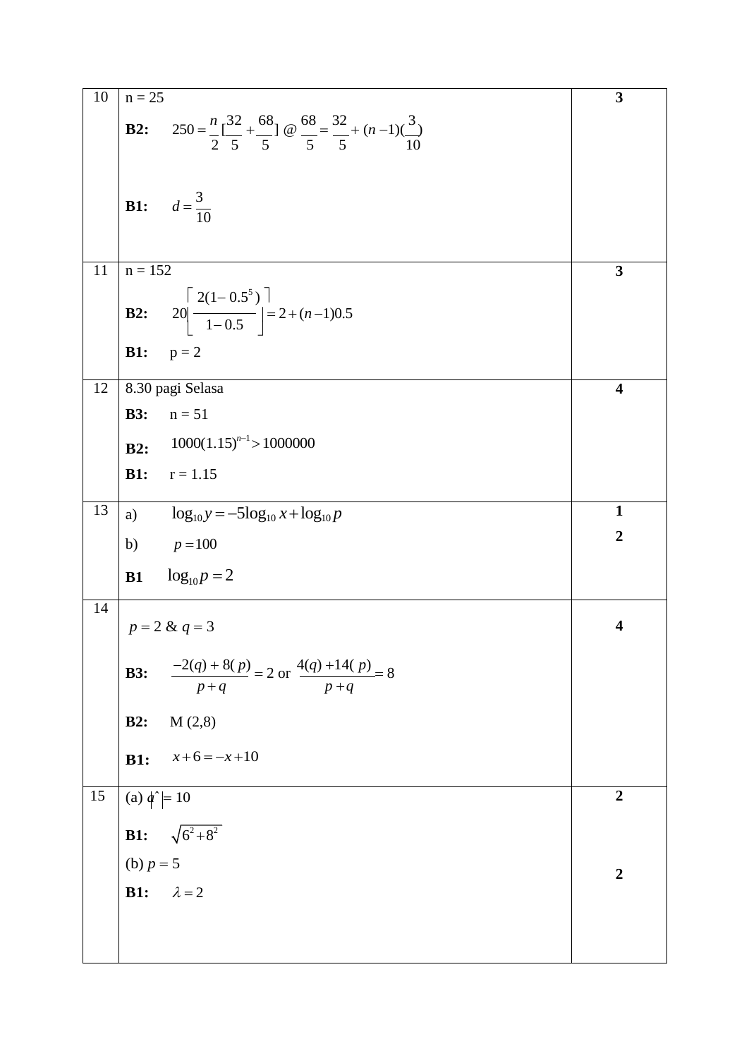| 10 | $n = 25$                                                                                                                              | 3                       |
|----|---------------------------------------------------------------------------------------------------------------------------------------|-------------------------|
|    | 250 = $\frac{n}{2}$ $\left[\frac{32}{5} + \frac{68}{5}\right]$ @ $\frac{68}{5} = \frac{32}{5} + (n-1)\left(\frac{3}{5}\right)$<br>B2: |                         |
|    |                                                                                                                                       |                         |
|    | <b>B1:</b> $d = \frac{3}{10}$                                                                                                         |                         |
|    |                                                                                                                                       |                         |
| 11 | $n = 152$                                                                                                                             | $\overline{\mathbf{3}}$ |
|    | <b>B2:</b> $20\left \frac{2(1-0.5^5)}{1-0.5}\right  = 2 + (n-1)0.5$                                                                   |                         |
|    | <b>B1:</b><br>$p = 2$                                                                                                                 |                         |
| 12 | 8.30 pagi Selasa                                                                                                                      | $\overline{\mathbf{4}}$ |
|    | $n = 51$<br><b>B3:</b>                                                                                                                |                         |
|    | $1000(1.15)^{n-1} > 1000000$<br>B2:                                                                                                   |                         |
|    | <b>B1:</b><br>$r = 1.15$                                                                                                              |                         |
| 13 | $\log_{10} y = -5\log_{10} x + \log_{10} p$<br>a)                                                                                     | $\mathbf{1}$            |
|    | b) $p = 100$                                                                                                                          | $\overline{2}$          |
|    | <b>B1</b> $log_{10} p = 2$                                                                                                            |                         |
| 14 | $p = 2 & q = 3$                                                                                                                       | $\overline{\mathbf{4}}$ |
|    | $\frac{-2(q) + 8(p)}{p+q} = 2 \text{ or } \frac{4(q) + 14(p)}{p+q} = 8$<br><b>B3:</b>                                                 |                         |
|    | B2:<br>M(2,8)                                                                                                                         |                         |
|    | $x+6=-x+10$<br>B1:                                                                                                                    |                         |
| 15 | (a) $\phi^{\sim}$ = 10                                                                                                                | $\overline{2}$          |
|    | <b>B1:</b> $\sqrt{6^2+8^2}$                                                                                                           |                         |
|    | (b) $p = 5$                                                                                                                           |                         |
|    | $\lambda = 2$<br><b>B1:</b>                                                                                                           | $\overline{2}$          |
|    |                                                                                                                                       |                         |
|    |                                                                                                                                       |                         |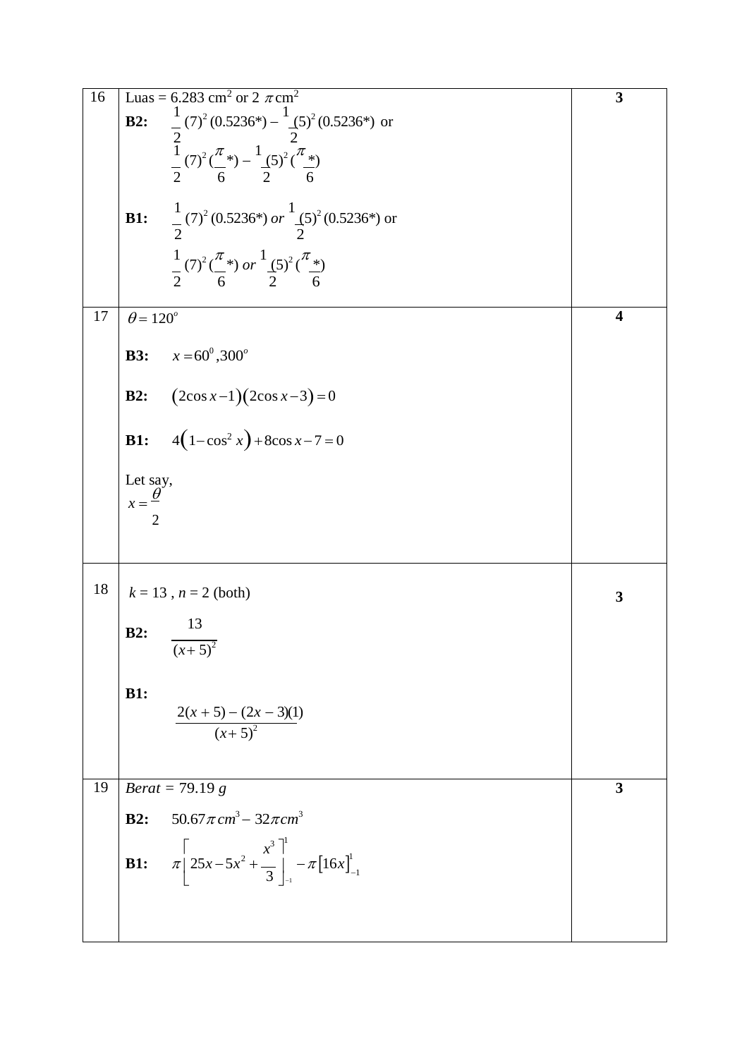| 16 | Luas = 6.283 cm <sup>2</sup> or 2 $\pi$ cm <sup>2</sup>                                                                                                                                                                                                                                                             | 3                       |
|----|---------------------------------------------------------------------------------------------------------------------------------------------------------------------------------------------------------------------------------------------------------------------------------------------------------------------|-------------------------|
|    | B2:                                                                                                                                                                                                                                                                                                                 |                         |
|    | $\frac{1}{2}(7)^2(0.5236^*) - \frac{1}{2}(5)^2(0.5236^*)$ or<br>$\frac{1}{2}(7)^2(\frac{\pi}{6}^*) - \frac{1}{2}(5)^2(\frac{\pi}{6}^*)$<br>$\frac{1}{2}$ (7) <sup>2</sup> (0.5236*) or $\frac{1}{2}$ (5) <sup>2</sup> (0.5236*) or<br>B1:<br>$\frac{1}{2}(7)^2(\frac{\pi}{6})$ or $\frac{1}{2}(5)^2(\frac{\pi}{6})$ |                         |
| 17 | $\theta$ = 120 <sup>°</sup>                                                                                                                                                                                                                                                                                         | $\overline{\mathbf{4}}$ |
|    | $x = 60^{\circ}, 300^{\circ}$<br><b>B3:</b>                                                                                                                                                                                                                                                                         |                         |
|    | $(2\cos x-1)(2\cos x-3)=0$<br>B2:                                                                                                                                                                                                                                                                                   |                         |
|    | $4(1-\cos^2 x)+8\cos x-7=0$<br><b>B1:</b>                                                                                                                                                                                                                                                                           |                         |
|    |                                                                                                                                                                                                                                                                                                                     |                         |
|    | Let say,<br>$x = \frac{\theta}{x}$                                                                                                                                                                                                                                                                                  |                         |
|    | 2                                                                                                                                                                                                                                                                                                                   |                         |
|    |                                                                                                                                                                                                                                                                                                                     |                         |
| 18 | $k = 13$ , $n = 2$ (both)                                                                                                                                                                                                                                                                                           | 3                       |
|    | 13<br>B2:                                                                                                                                                                                                                                                                                                           |                         |
|    | $\overline{(x+5)^2}$                                                                                                                                                                                                                                                                                                |                         |
|    |                                                                                                                                                                                                                                                                                                                     |                         |
|    | <b>B1:</b>                                                                                                                                                                                                                                                                                                          |                         |
|    | $\frac{2(x+5)-(2x-3)(1)}{(x+5)^2}$                                                                                                                                                                                                                                                                                  |                         |
|    |                                                                                                                                                                                                                                                                                                                     |                         |
| 19 | $Berat = 79.19 g$                                                                                                                                                                                                                                                                                                   | 3                       |
|    | $50.67 \pi$ cm <sup>3</sup> – $32 \pi$ cm <sup>3</sup><br>B2:                                                                                                                                                                                                                                                       |                         |
|    |                                                                                                                                                                                                                                                                                                                     |                         |
|    | $\pi \left[ 25x - 5x^2 + \frac{x^3}{3} \right]_{-1}^{1} - \pi \left[ 16x \right]_{-1}^{1}$<br>B1:                                                                                                                                                                                                                   |                         |
|    |                                                                                                                                                                                                                                                                                                                     |                         |
|    |                                                                                                                                                                                                                                                                                                                     |                         |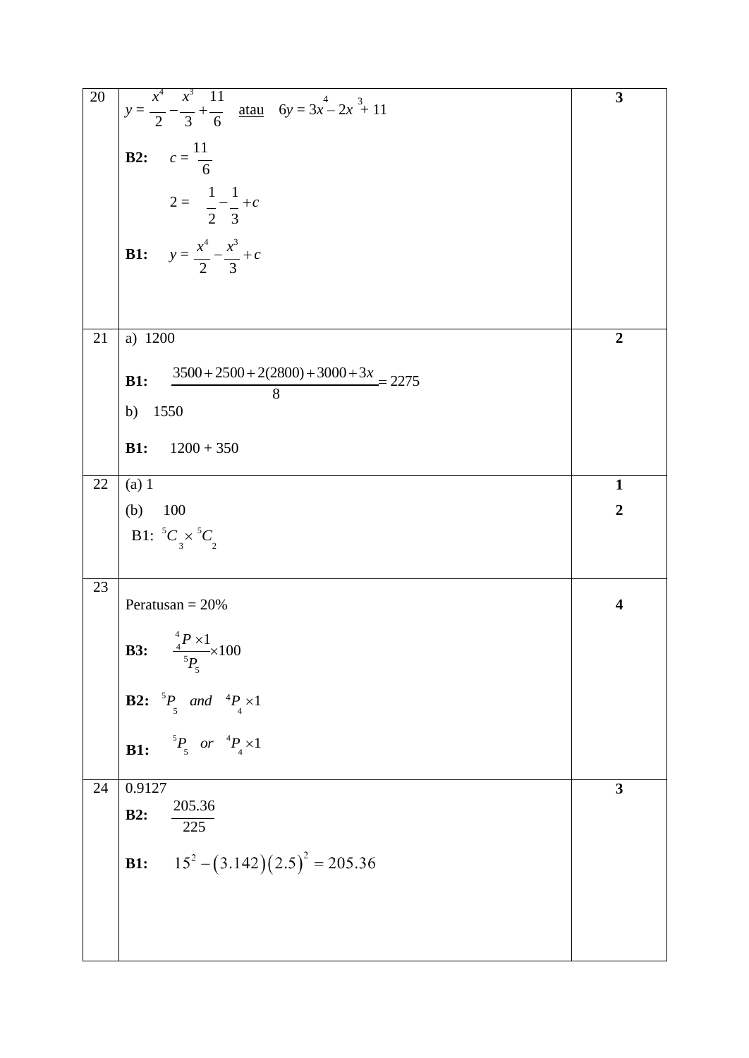| $20\,$ | $y = \frac{x^4}{2} - \frac{x^3}{3} + \frac{11}{6}$ atau $6y = 3x^4 - 2x^3 + 11$           | 3                       |
|--------|-------------------------------------------------------------------------------------------|-------------------------|
|        | <b>B2:</b> $c = \frac{11}{6}$                                                             |                         |
|        | $2 = \frac{1}{2} - \frac{1}{3} + c$<br><b>B1:</b> $y = \frac{x^4}{2} - \frac{x^3}{3} + c$ |                         |
|        |                                                                                           |                         |
| 21     | a) 1200                                                                                   | $\overline{2}$          |
|        | $3500 + 2500 + 2(2800) + 3000 + 3x = 2275$<br><b>B1:</b>                                  |                         |
|        | 8<br>b) 1550                                                                              |                         |
|        | <b>B1:</b><br>$1200 + 350$                                                                |                         |
| 22     | (a) 1                                                                                     | $\mathbf{1}$            |
|        | $(b)$ 100                                                                                 | $\overline{2}$          |
|        | B1: ${}^5C_3 \times {}^5C_2$                                                              |                         |
| 23     | Peratusan = $20%$                                                                         | $\overline{\mathbf{4}}$ |
|        | <b>B3:</b> $\frac{{}^{4}P \times 1}{} \times 100$<br>${}^5P_5$                            |                         |
|        | <b>B2:</b> ${}^5P_5$ and ${}^4P_4 \times 1$                                               |                         |
|        | $^{5}P_{5}$ or $^{4}P_{4} \times 1$<br>B1:                                                |                         |
| 24     | 0.9127<br>205.36                                                                          | 3                       |
|        | <b>B2:</b><br>$\overline{225}$                                                            |                         |
|        | $15^{2} - (3.142)(2.5)^{2} = 205.36$<br><b>B1:</b>                                        |                         |
|        |                                                                                           |                         |
|        |                                                                                           |                         |